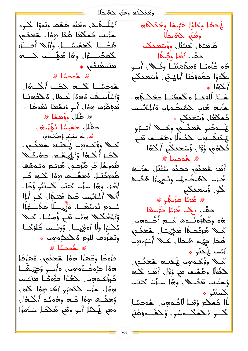وهُنْدْلُهِ وهُنِّي لِهُمْمِلًا

أَلْمَلْمَلَّى وَهُنَّه هُفَف وِنُورًا لَحْدٍ ﴾ هزَّمِينَ جُمَلَاهُمْ هُذَا هِهُمْ. هَعَدٌوم هُدُّا كَعِمَّسُا. وأَأَلَا أُحِسَّرَا كُمِدُ أ. وَهُ أَمَوْ مِنْ اللَّهُ مِنْ اللَّهُ ھسُمعُنصُہ ﴾ 2 Lisan 2 هُوصلُما كُمْ هُ لِأَحْمَدِ أَكْمَدُوا . وْالْمُسْمُّدْ هُرْهُ الْخُدْلَا. هَجْدُرْمَنْه هُدِهَنَّ وه الله على الله عَمْلًا لِعُمْعُدًا \* @ هُلُّا. **ووُههُا** @ حعُلًا. معمَّبسُا تَكْتَبِعُو . قًى . لَم سَكَبِيْدِ وُمِجْنَضَةَى كملا وتُكموه لْمَكْسُرُ هْعَدْمَا . لْمَشْمَرْ أَكْتُهَ أَوْ إِلَيْ هُـعَ . دَهَ مَشَــلا هُوماً فَر هُرْجو ، هُزْعُم وَعُوهَف ھُەتِحُنَـا. ەَھھُـــعَ ھِەُا كَــُـهِ كَــر أَهَٰذٍ. وَهَٰا مِيَّفٍ كُتْبُ كَمِيتُتُو وَّجًا. أَأَلا ٱلْمَلَّبُسِ شَدْ هُتَـٰٰٓءَا). كُـٰ ٱٰٓٓٓٓٱؚۤٳ الْمَجْدَ مِنْ الْكُلْ مَا مُسْتَوَالِ وْٱلْمُكْلَا هِهَـٰ شَعْ فُوسُـٰا. كَـٰلًا كَكْبًا وِلًا أَدْيُ لِلَّهِ وَوِئَــْتَ خَاوَيْجَـا وتعزُّوها لُلوُم هُكْكُوهِ \* 2 Lisan 2 دْوْهَا وِدْهْزَا هِوْا هْعِدْمِ. وْهْزُهْا هِ هُمْ الْمُحَمَّدِ وَمِنْ الْمُسْرِ وَجِهْدَهُ ا كْرْقُكْدْوْمْ. ݣْݣْتْرّْا جْتّْوْصّْلْ هْزّْمْسْتْ المؤال هنَّ للكَحْرُمِ أَهُمْ مِوْا كُلُّهِ . وُهڪُھ هِهُمْ ڪُه وُهُوَهُ لَکُلُهُ لِ هِ فَي كُلُّمَا أُسٍ وِقْعٍ هَٰكُكُمَا سُنُّوَوُ

يْحِعًا وكَاوُا هَبْهَا وهُنْكُلُوهِ وهُنَّى لِحَدَّهُ حِمَّلًا هُرِهُمُمْ. تَعْبُلُا. وَوُسْعِدِكْ حفُّ. أَهُا وصُّلُا ھُہ خُزُہ ُے مُعکِّمتُ اوشَــلا ک اُســو كْݣُورُا حقُّووْحُنَا ٱلْمِهْمْ. وَْسْعِدْكُمْ اُ كَدْهُ الْمَجْدِ هُــْزَا لَّاوْكُــا ه كُـعكَنُــا حقْكِــْبَرْهِ . هزُمة هُنِ للظَّمِيُّ وَالْمَلَّفَ كَمْلَاهُا. وُسْعَدْلُم \* لُمْسِمَحُمِ هُعِنُسَمٍ وَكِسِلاً أُتَسَبِّرٍ لمحْلَمُدهِم لِلْمُسْلَمُ وَهُمُسِمَّدٍ هُمْ ثَلاةُهِ, وُوَّا. وُسْعِدِكُم أَكْدَا 2 Lisaie 2 أَهَٰ: هَعْدُهِ حَحُدٌ مَمْتُل! هزُــة هُدنِ لِكَمُبْدُءلٖ ونُهيرُ الْمَحْمَدِ ݣُو. ۏٞٮؿڡڡػؠ *ه* هُزنا هزَيمُ ه حقٍّ . . إِنِّكَ هُزْئًا حَتَّمَهْا هُه وِكُمْؤُهْشُمْ لَاسْمْ أَكْسُمُ مِنْ. كما هُزْمُحِـدُا هُمْ عَنْهُمْ وَحَقَّمَ هُدًا نَهُم هُمثُلاً. كَمَلاً أَتَبَوهِم أَمَّت لِكَفُو ﴾ كَمِلًا وَوُّكُمُوهِم يُحَلَّدُه هَعْدُمٍ . لْحُدُلًا وِكُمُتُ مَنْ وُوَّاً. أَهْدَ كُلُوهَ وَْهِنُمْسٍ مُحَصِّلًا. وَهُ مِعْلَمَتِ كَتْتَبَ **ݣﯩﯩݨ**ر ھ لُم الصَّحْمِ وُهْدَا لَّاشُدْهِ بِ. حُدْمَسُا لْكُسْرِ هُ لِلْعُلُّكُ عَمْدٍ. وَلِكُفُّ عَوْهُكُمْ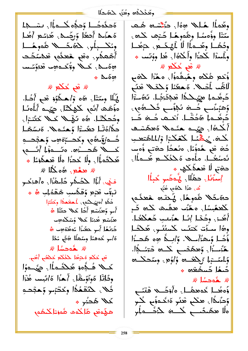وهُنْمَكُمُهِ وهُنِّي لِمَحْمَدِهُا

ەَحِدْوَحُــا وَحِدُّوكُــولَمَا. يېتىلچا هُهنَّكُ أَحِعُلُ وُرِجُكُ. هُنْكُمْ أَهُلُ وِيْݣُوبِهِ بِي حَقْمَتْكُمْ هُومِهُمْ ا أَهْعِكُنِ وَهْمٍ هُعِنَّهٍ هُكْمَكَت الْمِكْسِيمْ. ݣْحَمْلَا وَقُكْسَمْهُمْ شْتَاوُكْسْتْ  $\bullet$   $\Delta$ 60 a a is it يُمُلا وِمَثْلُهِ. ۞ه وۡ/هِـكُوۡوَ قُبِي أَحُـلَٰہ وَوَّهُمْ أَنُّم ۚ لَاهِكْنَّا ۖ حَيْثَ أَنَّاهُ لَـٰا وحُحكْتًا. ۞ه نَهْلًا حُمْلًا حُمْتَةٍ!. حكَّاهُتْلَ حَعَّتْ أَوْحَتَمَكَ وَسَنَّعْلَ كُـــوُوَّٰـوَهُ٥ وِكَحـــةٍوْوِٮ وَحَجْحـــوِ كملا هُدْرٌ: من من وْلِم أنْسوم هَكِدُولاً . ولَّا حُدَٰرًا ولَّا شَعِكُوْعًا \* @ Duon . pas @ فَنِّي. أَبْلَا حَصَّمُو حَلَّمَٰٓءُل وأَقْتُحُو تْبَوَّتْ ثَنْزَمْ وَقْلَمْسِ شَقْفُلِي ۞ \* دُهُوْ أَهْلِيَكُمْ. لْمُعْتَمَدُّا وِكَتَّتَةِا أَمرٍ وَهٰذَهُم أَحُل كَملاً حَنَّنُا قُ هنشم هُزئا كملا وُسْكُموب دَّرْسُهُ أَس حَعَّدُ ا مُوهَّدَهِ وَ وَ دَّاس خُەھمُا مِمُعاُا ھُنِّ مُدَّا 2 Lisca 2 قَعِ غَكَمَ مُدَمِّطَ لَكَنَّكُمْ غَلَقَيْمٍ أَهُي. كَــلا قُــِمُومْ هَـلاَشْــواًا. حَيْــووُا وِدًاتًا هُوَاَوُعِقًا. أَحدُّا هَالَبْتِ هُزَا ثَلا . للنّفَعُمُا وِكْتَبُسٍ وَحَبْدِهِ كْمَلَا هُجُنْ \* ههُوهُم هَالْحُوهِ هُوبْالْحُيفُومِ

وهُداً هُلِي هِهَلْ. دَرَّتْسُرِهِ هُد مَنْنَا وؤْدْسُا وهُدوهُا حُبْرَهَا لَدْنَ ودُهُــا وهُـــواًا لَا ـاْلِهِـدٌــو. حَرْهُــا وِمْمِيْرًا ۖ كَحَزًا وِأَحْدَٰا. هَٰذَا وَوُئِمِي \* ه شم **گلام** ه ؤْكِم هُكُلُه وِهُبِيقُوؤُل مِعْزَا لِحَدْهِم لْلَثَّفِ لَمْسَكِلٍ هُ هَعَمُا وَ حَكَمًا ۚ قَعَبُ كْرِهُــولِ مِيْــلْــدُا هْدِكْرْجُــا. تَـهُـــْزَا وَهِبَنَى حُــة لُبْفَى قُــْـةُهِ. كْرِهُــه لِمُ هُكْتُــا. ٱتْمَــعَبْ كُــةَ كُــزَ أَحْدَهُا. حيْء هِنَدْ لَا مُعفَّسْه كمخالما وَالْمَاطَرَ الْمُقْتَدِمِ كُهْ هُم هُدُوُّمُّا. دىُمكا دەنى ۋەم لُهمُعُــا. مأود هَ حَكُكْــع مَّـــومًا. دەتو لا مُعكّكون . إمبُّرُنَا. حقُلًا. هُءكُس كَبِدًا ] ى. هزّا لمدهً من هُنّ دەَخَلا ھُەمِعُل كُحِنْـهِ حْصَدُع ݣَعْهُبْسُلْ. مَعَّنُتْ هَقْيُمْ ݣَاهْ كُلّْ أَهَٰ: وِحُدًا إِنَا حَنَّىبِ حُمحُهَا. وِهَا مِيَّة كُتْئِبْ كُمْشُو. هَٰكُمَّا وَّحُــا وَّــعزَّا ـــــــلا. وَٰابِــدًّا وَهُ هَجَــزًا هَّنُواْ. وَهِهُقْبِ ݣُوهِ قْتِهَا. وَلَمَسْتَهَلَّ وَلِكُفَّ وَاوُهِ. وَسَمَحْكُمُ صُمُّا حُسڤَعْه \* 2 Lisan 2 ؤُهمُما خُمعمُما. ه/ُوَحُمِد قُتَنُبِ وِّحَنُّىكَا). ھڭم قْلُو ەَاگْتْمَوَّى كُنْس ەللەھكىئىسى كىسە كۆگىسەلمىر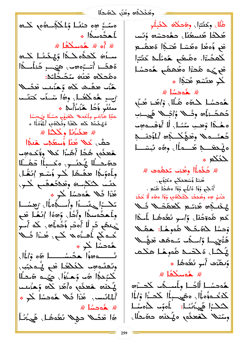وهُنْدْ٩ُ٥ وهُنِّي حَدِّمَطُل

ەمَنْ وە دىُنْا ۆلمىلگەن ھەر ئىدە أعدُه ما \* & o & island & مىأة كْحَدُّه حْكَلاً وَْلِحُسُل كَلَّه هُهضَــز أَتَـــرُه مِن مِهْلِـــرِ حَزَلَمَـــــــــرُا ەھّحىلاھ قىلۇ مىڭىخالئى: هَّنُ هَفَّدَه لَاهِ وَهنَّمَت هُشَما توب هُوڭگىل. وەڭل متسلّمە كتئىس مىلُلُو وَّدًا هَنَّمَزُّاَّىٰهِ ﴾ لمُسَامِرُهِ الْمُسَامِ الصَّرْفَ عَمَّمَكَ السَّامَعَةِ مِنْ السَّامَعَةِ مِنْ السَّامَةِ مِنْ الْ<br>المُسَامَّدِينَ السَّامَةِ الْمَسَامَةِ الْمَسَامَةِ الْمَسَامَةِ مِنْ الْمَسَامَةِ مِنْ الْمَسَامَةِ مِنْ الْ ه منْدُرُبُا ويُحْكُبُا & حقٍّ. كَلا هُنُا وُسِعَدٍ هَبْدًا هَعِنُومٍ هُدًا أَهُنُوا كَلا وَتُكوهِب حةَ حَفَّ الْمِحْسُو. مَحْـبِلَا حَمَّــال وِلُموۡمِمُا مِحۡمَعٗا ۚ كُـرٖ وُسۡـم اِنُغُـا ٖ. حلًى لِمُنْتَزِّبة وِتَعَادُمِقُبِ لَحْسٍ. هُٰزَا ثَلا هُ٥حسًا لَحْدٍ \* تكسبُ إِلَى مَثْلُ إِنَّ الْمَسْلَمِ الْمَسْلَمِ الْمَسْلَمِينَ وَالْمُسْتَدَمِّينَ مِنْ الْمَسْتَدَ وِلْمِحْمِسِكَا وِأَحَا. وَهِءَا إِنْمًا هَـم يْ مِكْمٍ لَمْ أَوْثَمِ وَّثُمَوْهِ مِنْ كُلُّهِ أَسْرِ جُــوكُمْ لَمْعَنُوهُ كُلّـى. هُــْزَا شَــهُـ ـ هُەدىمًا لَكَن ھ وِنُعَسُّمَوِتَ الْمُلَاهُ أَهْلِ فُي مِنْكِبٍ. لَكْتَبْحَجًا هُبَ وَحَسَّرُوًا. حَيْتَ هَدَلَا يُحلّه هَعنقَهِ هِأَهَٰذٍ لَكَمَّةٍ وَحِنَّمت أَبْلِلْنُسبِ. هُٰزَا ثُلا هُوَدِسًا كُلِّ \* R Lisan R هُا مْثَىلا حهلا ىُعْمِصًا. فَيْزُلُمْ

هُلًا. وكَنُترَا. وهَجَدْفَ حَذَبَهُم هَٰٓدُكُمْ هَٰىسِعُبُلْ. حَمُّوجِسُرِهِ ۖ وُنَّبَت هْمِ وَۚدهُا مَعْسْا هُتبْا هُعفُــع كْهِدْتْ!. ەھُىغٌى هُەئلُكْ كَنُتْرَا ्كو هنّشع هُتَّكَمَّا ﴾ A Lisaie A هُوصُلِ لِهِ هُمالِ. وْاهُد هُنَّى كُهكُـزِبْهِ وشَــلا وُ/ثَبِــلا فَي زبِ ەھْـدَّا ۋەنب مَنْـا. لَا أَوْقْنـە و كُمنُــه\ وِتَعذُكْــكِ، أَلمَؤُدنَـــكِ ەئىكىشىم ئىسمال وۋە ئېشىل لمنكع \* ® حُذُه أُل وهُن، مُدهُوب ® هُزءُا وُسْعِدِكُم مَكَرُوُمٍ. ٱلۡكِي وُوَّا هُٱلۡكِي وُوَّا مفۡحَٰا هَنُم . حَبَّبٌ وه ومُحجَّدَ حَقَحْوَهُ وَوَّا هُوَهُ لَا حُجَّدَ لهثَدبُه هُنسُم لمُعفَضَلا فُلا كُع هُوَدُنَا. وُ}سو تُعْوَهُا لَمِيْا ا وْحِسًا جَوَّمَكُمْ هُومُا: حَقَّىلا كَتُوْسِطْ وُأَسِيكُتْ سُبْحِقْتْ شَذَيْبِ لِلْإِ بِّكْلِ هَكْتُمْ هُوهُا هِكْمَ |وٌىكُنْت أُمر نُعْدَهُا \* Q Léluck Q هُوصِيُا لَاجُا ولَمِيهُ كَحِبْرَه كَلِكُدوَّهِ أَلِّ. وشَيْ بِأَل كُدْرًا وَإِيَّا لمشاه أو مَنْ الْمَانِيُّ مِنْ الْمَدْمَدِينَ الْمَسْتَدَمَّ وسُتَلا لمُقْعَدُه ومُكتَّه حَةَمْطًا.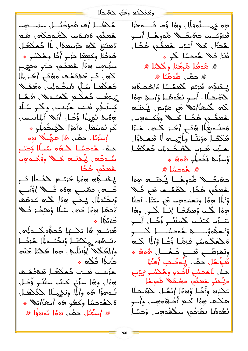وهُنْمَكُمُهِ وهُنِّي لِمَحْمَدِهُا

هَٰٓڵۡعُمُّـٰ ۖ أَف هُوَدُنُـٰ ۖ أَ. مدَّنَـــ 20 مُعدَّم وَمدَّم لِمُدَدَدُه وَم ەَھىرِّق كە جومھۇل ئا كَمْكْفَا. هُهدُما وكعِفقِا حَنُسٍ أَحًا وهَكْسُو \* بمؤمومه ومنستها حثو معهم لَّكُلُّهِ . ثُم تَعْلَاصُّفْ هُوُضٌ أَهْدَىٰ الْمُ كَعِنْكُمْ لَمْساً هُدَّے اِب وَهُدَىٰ ۖ ى تقب كَمْكُمْ كَمْتُمْلَا فِي الْمُحَمَّلَ وَمِمَّائِكُمْ هُـَامَا حَزَّمَاتَ. وِكُـُـرِ مُنْأَوْ وهُما نُصِمُ الْوَحُلِ. أَأَمَلا أَبْلَكَ مُقَصِّد كُمْ تُوَمُعُلْ. وأُوْرَا كُلُمْحُولُو \* إمرَّبُّلْ حقٌّ. هَ احمُكُمْ هو حَدُّ. هُوَجِسًا كَاوُهِ مُبْلًا وُجِبْ مُسودُه ، لَيُحلِّسه لِمَسلا وَوُّكْسوهِ هْعِنُو هُدُا لحِكْسِكُمْ هِهُا هُنسُم لِحُسُماً ضَـٰـْ تَــــە . دېمب ھەە ئـــــلا /ۋٱـــــ وَْىتُتَّمَاْلِ. لِمَنْبِ هِءُا كُلُّه عُمْقُف ەُدىھَا ھەدَا دُھ . مَمْلًا وُھرِّڪَۃ شَـلا دْ:يْݣَالْ هَٰزئے وَ الْمَكْبَةِ خُحِفُوجٌـويُو. ەئــھَوْە حِكْمُنْــا وِّىـحَـُـْــەلِهُ ــهَزَكــا وِٱلْمَكْلا ۚ إِذَٰائِلَيْهِ . aهِ الصَّحْدَا هُتُه دَّنِيُّا ثَكْنَ \* مأمليه هُبْتِ كَمْلَاهُمْ شَلَائِكُمْ فَ رَّهِهْ وَهَا سَأَتِ كُتْئُكَ مِثْلُو وُكُلْ. ئەھۆا ھە والما ونىمى للىكككىل. هُ لِحُفْدِسُلَ وِكَعُدٍ هُو أَحِدَٰزُاتِيلاً ﴾ & إمنُ لما . حقَّ وهذا لَه ودوًّا هِ

هِهِ مَيْ أَهْوَلُمَ فَيْ وَهُوَ أَوْ حَدَّ هُ مَدَٰدًا ھْلۇڭــىب جۇمگــىلا ھُەوھُــا أُســو هَدُا. كَلا أَتَبَت هَعْدُه، هُدًا. هُنْزَا ثَلا هُءَدسُا لَحْرِ \* ه هَمعُدا هَبِعُدْا وِكُكْلَا هِ *ه* حفّ هُومُنْ هِ مهمههاة المستكم كلامته مهنهه لاهَٰمِصْلًا. أُسِي تُعْدَهُما وَٱسْمِ هِءُا لَاه كَمْعَزَّائِلاً هُمْ عَبْمِ. يَكْتَه هْعِنْدِم هُدُا كَمِلًا وِوُّكْدُوب. هَجِيَّجُوگُلُّ هُجَّے أَهَدَ كُلُّهِ عُجَزًا هُكْشًا وَمُتْلًا وِلَمْ يَهْدُ لَا قُدِمَكُوْلَ. هنَّت هُــزب للطَّيفُــولي كَـعَلْطُـا وُمباً ما وَّحْمأَى الْهُ مَا \* @ Lacie @ حقَصَّــــلا هُموهُـــا هُــُــْت هِمُا هَعنُه هُدًا. حَكَمٌت شَم ثَــلا وْ} أَا هِهُ| وِتَعْنُوهِ فِي مَثْلًا. أَحْلُلُ هِهُا گُمْ وَهِهُمْا إِسْا كُبِرٍ. وِهَا مْنَــأَبِ كَتْتَبْتِ كَلِيشُــوٍ وُّهُــأَ. أُسـو وْاهِدُهُ وَمِـــدٍ هُودِمُـــدٍ هَ كَمُكُـٰٓمِنُـبٍ فُـٰٓهَٰٓا وَّٰٓحَٰا وَٰٓاٰ بِآْا ۖ تَكْـِيهِ وتصرهُ في هُما. ٢٥٥ هُرِزُهُا . دَعًّا . إِنَّهُ ضَمِي أَهْزَا ا حـة. أقحمُــ لَاضُـــه وهَكْسُــر رُجَ بــ وَيُحَبُّرِ هُعَنُّهِ حَقَّدَكَ هُومِهُ كَحْبَرُهِ وِأَحُلَّا وَهُوَا إِنْهَا. كَوَّمْحَلَّا هڭك هِوُا كُلُّ أُكُلُّةُهِ بِهِ فَلِي اللهِ مِنْ ىُعْدِهُا بِمُرْجُمٍ مِكْفُوسٍ. وْحِسُلْ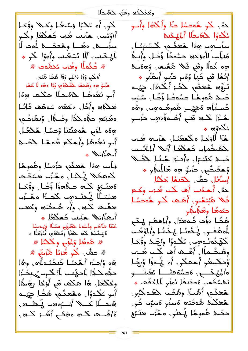وتَعْنَكُمُ وَتُنَبُّ لَكُمُحِلًا

كُرِ. أَه حُكْرًا فِسُعُدًا وِكَحِلًا وِقْحَا أَاؤَمِّسَ. هَنَّمِكَ هُذِبَ كَمَكْتُلِ وِكْتُو ـْمُلِيكْتَبِ. ٱلْلَّا تَشْعَكْتِيب وِأَوْوَا لَكُو \* *®* حُذُماً وهُن مُحفَّده *®* أَالَّكُمْ وُوَّا هُٱلْمَ وُوَّا هُكُلَّ هُنُعَ. حَبْبٌ وه وهُدحَة للصَّلاةُ مِ وُوّْا هِ هُ هِ لَا حُجَّة أُمِرٍ تُعْمَقُا لِمَحْمَدِمَا هِكُلُّ وَهُ! تَعِبْكُمْ وأَجُلْ. مَكْعُدُ صُحْفُفَ دَّاسًا ەھْبْكُمْ حَدُّە حْكَا وِصَّدًا. وَيْكَبُّصُ وِهُهِ لَمْوِ هُوَهِنَّنْا وَحِسًا هَٰلِكُلْ. أُمر تُعْدِهُا وأُحكَّم هُدَهَا كَدْحَا  $\bullet$   $\mathcal{N}$ وَلَمْسٍ هِوَا هُعَدُهُمْ حَزَّهِ مَا وِهُومِهَا لُدْهِكُلا يُكْلُ هُمُّنُ هُمْشَد ەَھنَـرَى كَــدە ھــدُرەوُوْ وَّحُــا ووَّكَــا همَّتْ لَمْ لَحْشُمْهِمْ لَحْدَ أَلْ مَكَّنُو هدَه ه ١٤٥ . وأه هُـهحُثه وكمعـد أمعاُرُتِكَ هزَمِي جَمْكَعُلَ \* َّكْتَنَا هَزَّاهُ بِرَاْمُتُمَا ۖ كَعْنَهُم صَنَّىلًا ۚ يُحِسَّلَا ﴾<br>﴾ الْمُفَسِّلَا عَلَى حَمْدُا وِثَـلاَهُ مِنَ ٱلْمَوَّهُ أَلْمَ @ هَءهُدا وُلمْوْمٍ وِكُلْدَا @ ه حقَّ. كُم هُنئا هُنَّبَ هُ هُه وُادِّا أَهْدُ ا حُدَّثَهاُهِ. وهُا حَدُّه حَكُمَّا ۖ اَحَجَّت ۖ أَلَّا كَحَرِبَ جَاحَدُ ٱلْ وِيُنْكَفَلَ. هُا هِنْكُمْ مْعَ أَوْيُدَا رَهُكُمَّا أَمِرٍ مَكْدَوُا. وهُعَدَّعَ، هُدُا تَهْتُ هَ مَكُلًّا لَمَكُلًّا أَتْكُرْهُ مِن لَيُحْشَدُهِ. هُ/قُـــد لَــده ههُكَــم أَهُــز لَــده .

حةً . كُمْ هُوصمًا دَٰا وِأَكْدُا وِأَسْر عُكْدُوُا لِكَمَّحْلَا أَبَابِكْتِكَ مأسوب وةا هعدٌ م كَسْبُسًا. هُوْبَأْمِد الْأُووْكِدِ حَشَّوْخًا وَّكُلْ. وِأُبِـدُّ ہِہ خُملًا وِتَى شَلا تَمَعَّىم. وُ3ْمَىْ إِنَّـٰهَا هُمْ خَذِا وَّەُمْ حَنُّىرِ أَمْكُنُو \* ئىۋە ھەدئە ككز أىكە ا. دىم تَىـدْ هُومِـمُـا حشَوصُـا وَّهُـا. مَمْبُ كَسِيلُهُمْ هُيْ هُدُوهُـدْمِوبْ. وْݣُو هُــْزَا لَكُــرَه شَــع أَهْــدَوَّه وَبِ حَزْبَـــو  $\bullet$   $\bullet$   $\bullet$ هْزَا لّْأَوْحُمْ مِكْمِعْتُمْلِ. هِنْسِينَ هُنِي للْهَبْدُه إِن كَمْلَاهُا أَأَيْلا أَبْلِدُنْت صْبِهِ كَشَيْرًا. ه/ُصْبًا هَمْسًا حَصَّلا وَمِعۡنَصَٰٓ ۖ . حَنۡشَ وہ هَالۡمَالِم \* إمبَّتُا. حقَّ. حَصْمًا تَحَكَّا لحةً : أَلْعَمُلنا أَفْ لَمْنَا هُنْهَا وَكُنْعَ ثُلا هُبْتَمُسٍ. أَهْمَا كُبْرِ هُوصُبْ حنّەھُا وقْدُمگر هُجُلُ هؤُد شُوهِتْزَلَ. وِٱلْمُعَظَّمِ لِهِجْمِ لْمَهُـُـبِ. لَمَـثَمَـٰل لِمَـثَـٰل وِٱلْوَهَـٰـٰ ݣُوْݣُەئەھِبْ. ݣْݣُووُا وْرُكْمْ وْوُْدَا وهَبِدُّے أُلّ أَقْسِعَهِ أَفَّ كُنْتَ هُسْرَت وَحِكْسِعُوا أَحْمَلُو. أَه لَيُّءَوُّا وَرَجُل ەڭلىڭسى. ەَحشّەقشىلا كَعَّىسُسىر ثك*لمَّ*حُ**م**. هُحثَنفُا نُوزُرِ لُلِكَفُِّف \* هَعِدٌهِ أَهُــُ;ا وِهُدًــ لِكُــهِكْبِرٍ. ـمُعنَّـٰـٰه هُـٰدتُده هُـٰداُرٖ هُـُنَّبُ دُر. حثَّىه هُومِهُا مُحبُو. وهُنَّت هنَّوَو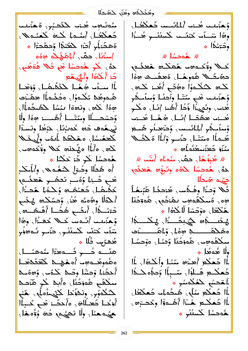وهُنْدُمُه وهُنِّي لِهَمْمِلًا

مثَولُنهما هُزَات الْمُكْحَبُنِ. هُاهَّذُلِكَ دَّمَكْعُما. أَمَّده لَم كُلْمُدُه لا . هُهكُنهُم أُحْزَا كَعُتنْهَا وُحِكْحَتْهِ \* إسرَّئل حفَّ، أَبِاهَٰذُكُمْ وَوَوَ حةُ . كُبِّ هُءَحِسًا مْعٍ ثُلا فُةِمَّى . جُزِ أَكْدُهُ أَولَٰى هُمُو لُم الْمَسَدَّبِ وَهُمُسَا لِلْكُلُّدِيُّسَا. وَوَقْعَا هُــوهُــم عُـُــدوُل وحُـدُـداُل ههَــرْت هِهُا كَلُّهِ. وِتَعْدًا بِنُسُلِّ كَتَفْتُوَلُّمْاً. وُحِسْحِـــُلَّا وِمَنْنَـــا أَهُـــــز وِهَا وِلَا تَّىهُوف دُه گُوبُرُبُّا. جَرْهُا وتَسْرًا كَعِمُسُا. وهَكَعُمْ لَمِنَه وَلَى هَلا لَكْتَهِ ﴾ وَأَلَمُ الصَّحْلَةِ مَكْلًا وَقُكُمْ مِنْ هُوصُل كُمْ ثَوْ تَكْتُلُ \* أَه هَطُا وِصُوْلِ لِمَعْصِمٍ. وَٱلْمِمْكُمْ ھَے کَےٰٓا وَّہٗ۔۔ تَحھُے ہُعدُے كَثْمَعْلَ. حُصْنُصْـ وَحْـدُهُمْ هَجـزُا. أَلْحَالًا وِرْهُونُه هُذُ. وَحِمَّدُرُه لِيَكُبُّم دْتِنُــٰهُمْاً. أَمكَـــع هُـكَـــا أَهُــهَــــه . وَْهِنَّمِيلِمِ أَنَّـهِ مِن كَلِّلاً كَلِّفَـزًا. وَهُا ىتىأما كتىف كىلىللىق دۇمىر شەھۇر هُدمٌ مِب ذُلّا \* ەھُەوھُــە∞ب أەھىمــى كَقْعَكەشــا أَحدِّنا وْحِشًّا وِصْحْ كَدُّبٍ. وُ50هُ حَ سكفَى هُودُمُل. وأبِه لَكِن هُزَهِهِ لْمُتُدْوُنٍ. وِتَكَوَّمْا كَنْهُمَا وَلَيْ. هَبْو أُوْكُما كَعْطُارَه ، ه/ُحَكَّمْ هُم كُمْبِلَّا ا هِ يُدْمَوْا بِهِ اللَّهِ مِنْ مِنْ اللَّهِ مِنْهُمْ .

وَْحَزَّىنَاتَ هُـَرَتَ ٱلْمَانَّبَـَيْتَ كَحَكْفُـلَ. وِرُّا سَـــأَبِ كُتْئَــبِ كَبِيئِيُّــبِ هُـــأَا وڅټنگا پ 2 Lisan 2 تمسلا وتُكمده مَصْلَاه حْمَدْم دەَخَىلا ھُەرِمُا. ەَھڤَىـھ ھِەُا كـــــره لكنُكْـــموُا هرهُكُـــم أُهُـــز كَـــره . وَحدَّىب هَـــ مَتْلَم وَأَحتُــا وَمَثَلُّــدُو هُذِبٍ. وِنُصِيَٰٓۥٗا وَّحُا أَهُمْ إِسَٰا. هكْتُو هُـــزم ههُـَــل إِنْــل. هُــهُــل هُــزم ۇمىأسىگى أبايلىشىپ ۋەزەھلى ھُمىغ مَنَّزَةٍ كَعَزَّمِيعُلُّهُ لَمْ \* .<br>\* هُرُوُهُا. حقَّ. مُعَاه أَمْنُه \* حةً . هُدَهَما لِكَةَه وِتَرَوْهِ هَعَدُهِ المُعدة مريّ ثَلا وْمِزَا وِقُلَّمْس. هُزمحُا هَبُعُاً (وه . هُمكْكُمْهِمْ بِكُبْتُمْ . هُمْوَجُلًا هَنْكُعْلَ. هُوْتَـمْبَا لْأَبْكُرْهَا ﴾ لمْكْمِدْ أَيْتَ مِكْتَ الْمَسْتَمَارِينَ مِنْكُسْتَمَارَ ەھْكەُـــــە بەەلى. ۆلمەــــــْت سڭگەھەب. ھُەزجُىُّا وُصْل. ەۋجىئىل ولُل هُدهُدل ﴾ لَمَا حَمْكُمْ أَهْنَّةٌ مِّنْهَا وِأَحْدَّهُا. لَمَا كَعِنْكُمْ قَـٰاؤُا بِ مَنْـَـٰبِهُۚا وَجَدُّهِ كَـٰدًا أقصله لمفكومين وأ لَمْ الْمَحْمِ مُلْ. هُمشُه ما كَمْكْعُلْ. لَما كَمكُم هُـْزَا أَهُـهَوْا وِكُحـْرِهِ . هُەدىئا كىيىتُى \*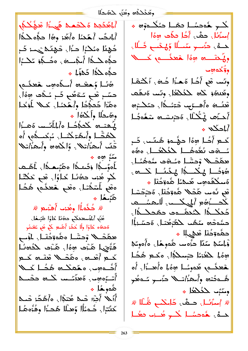وَهُنْدُمْهِ وَهُنِّي لِمَحْمَدِهُا

ٱلمَعۡكَمِم هَ لِأَـمَـم هَيۡـٰٓۥٗا شَوۡنُكُمۡ﴾ أبابعًا أَهْدَا هِأَهَا وِهَا حَذِّهِ كَمَا حُمْلًا مِنْكُرًا حِزًا. حْمِنْهُ يَجِبَرْ كُرِ حَدُّهِ حَــدًا أَحْدَمَــةٍ . هَـُــدِّو مَحْــرًا حَدُّه حَكُمُ أَحَمَوْ \* هُنُا وَحِعْدِهِ أَسْلَمُوهِ حَمْدَتُمِ حمّٰـٰٓ ثُبِّ مُـٰٓقَعُبِ کَـٰٓ مُـٰٓات ہوہُۚا ۖ. ەھّزا خَدېُدًا وِٱحۡدَا. كَــلا لَمۡدُـا ودَّمطُل وأَكْدَهُ! \* لَّحْسُمْ لَكَجُمُّـا هُلْمُلَّـُـب هُعَـٰزَا لمَفْشًا وأَلْمَتَكْتُا. يُبْعَلُوهِ أَه تتك أسفااتكا والكحو وأسفااتكا  $\bullet$  00  $\sim$ لَمَوۡنِـٰٓءُٖا وَثَـٰنِـدُا مِمۡبُنِـمِـدُا ۚ. لَمَّـٰعَـ كُرِ هُنِ حَدُّنًا مُحَاوُّا. هُم تَكْتَلُ ەھْم لمُتكْتَا. ەھْم ھْعْدُمْ ھُڪَا كَبْسُهْا \* @ حُثُماُ! وهُنِ أَعْنُبِهِ @ هُنَى ٱلمُؤْسِعِدِكُم حَمَّا لَاؤُا هَٰٓئِـهَا. ەَحەَه كَاوُا وِلَّا كُحَّا أَهُبْ كُلِّ مَّعْ كَشْبُر ههَدْ ﴿ وَحِشْـا مِهُوَوَٰدُلْ. اوْب كَتُوْمِهِ الْمَنْوَدِ هِوَا. هَنْوَد لِلصُوبُ كم أقمى وهُصْمًا قُتْسُ كم أَحْدەبو و مۇھىكى ھۇسا ئىسلا أتتؤه ومن هُ مَدَّمَــب لَمْــ وَ حَصْـــه هُوماً \* أَلَمِ أَجْنَ شَمْ مُتَمَّا. هأَهُجُز شَمْ كَنَّتَرا. شُمْلُلْ وُهِـلْلْ هُجِـزُا وِقُزْهِهَٰـلْ

ىك جُوجسًا بِهْما جَنْكُورُه ﴾ إِسْتُطْ. حَقّْ. أَخُل حَكَمَ وَهُ ا حــةُ. حنَّـــو مَنْـــلَّا مُٓلِحْبِ شَــُلَا. ويُحتسسه وهُ أَهْجَدَ مِسْدًا وَ وؤكدوها وِنَس هُم أَحُلُّ هَـمـُوْلَ حُـفٍ. ٱلْحُنْهَـلِ وهُدْهُوْ ݣَاهْ لْمُخْلَفْلْ. وِنَّسْ هُدَهُمْ هْلُــة ه/ُڡــمِّـب تْـتِــُـدًا. تَـكْــرُه أَحِزَى بِنَكْلًا. ەَحْبِسْـە سْفُوجُـل أبادكلا \* كُنْعِ أَكْتَا وَوَٰهَا حَوْضُوهِ هُنِيْتٍ. كَتَرِ ئەدە ئۇھۇسىلى كىلىشىل دۇە ههَدْ لا وْحِتْسا مْسْرْفْدْ مْهْمْمْسَا. ھُوَحُــا لِـكُـــوٰا لِـحُـسُــا كَـــــ هِ . ەمىڭگەھە ھىكىلا ھُەۋكْتا \* هْمِ نُهم هُكُلا هُوَدُمْلُ. هُد<sub>َ</sub>تَـْسُلْ كْحَـــزُوهُمْ أَلِي كُـــبِ. لَأَسْعِيمُـــبِّ حُدكُـــمًا لِمُعفَـــوت حِقحكـــمًا. حشَّدْتُه مَعْشَب لِلصَّرْهُتِيلِ وَحِمَّىٰ ذِلَا حفَّەق<sup>ِ</sup>دُلَّا شَكِي ال وْلِمَحْمِ مَمْلًا دَزْهِ مَا هُومِهُا. وأُومِكْمِ هِهُا لِمَعْنِىٰ حَبِيلاًا. مَكْمِ هُجُا هَعْدُے مُدْوِسًا هِهُا هِ أُهْلُ؛ أَه هُـــه دُمْه وأَمـعةُ/شـــلا حَنُمـــو سُــه هُــو وَسَّبَّ لِمُكْلِّطًا ﴾ *۾ إمرائيل. حيثي. خُلنگ*م هُلُّا *ه* حــة. حُـُدمُــا كُـــرِ هُـــزب تعُــا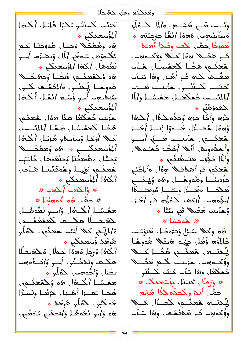وهُنْدِيْمُهِ وهُنِّي حَقِّصَلًا

كتك كسلُب كدُا فَاسًا. أَكْشَا أباؤٌمعدكُم \* هُه وِهُكُحْلاً وْتَسْلَى هُوَدُمْاً كُــع كَنْدَوْوَهِ . مُـدِهُم أَلَمَّا . وَيَـمَّـزُت أُسـو ىُعْدِهُا. أَكْدُا ٱلمُنصِحكَةِ \* هُه وُلمُعدَّــه هُــُــا وُحهُــَــلا هُّەوِهُــا لُهُـدُــو. ةالمِكْصُــْ كُـــو. مَعْلَمُوهِ أَسِرٍ وُسْعِ إِنْهَا. أَكْدَهُا أباؤُسعدكُم \* مِّنِّس حُمِّكْعُلِ مِدًا هُلْ مُعِنَّمٍ ھُڪُل كُعجَّىسُل. ھُجُل ٱلْمَلَّسُـب. كْمِلًا أَوْكُمَا وَمِعْتُمْكُمْ هُوْسًا. أَكْدَهُا أَلِمُوَ مَعْدَ لَكْتَبٍ \* وَهُ وَمِعَهُ صَدَ اللَّهُ وْحِشْاً. وهُوَدُمْا وُحِلُعُوهُا. كَاتِبُ هَعِدُمٍ أَيْهِا وِهُوَقِيَسَا هَـزَم. أَخْذَا ٱلْمُوَسِعْدِكُمْ \* کا کا کہا کہ کی کہ ک ه حقٌّ. 60 نُدەورُن*ا ھ* همَّسُــا أَحْـــهَا. وَاـــو تُعُّــهَــا. لمؤمساً هكسم لمُعْعُفُسُم. ة/لمِلْهِم كَمَلاً أَنْتَهِ- هَعْدًى ِ. كَمَامٍ هُرِهُمْ وُسْعِدِكُم \* أَحْدَهُ الْجَرْجُلْ هَدَهُ الْكَدَلَّا. هَجْدَهُ حَمَّلًا هڭلُعا وِلْكُتُنُو. أُسو وُاصْرَأُه ها ىگىُل ۆاگەھە . گەلُر \* همُسُالُمُكُوا. وَه وَكَمْعِدًى. هُحُــل عُمَّــزُل أَهْــزلم. حرْهُــل وتســرْا هُدگرم. حَدَٰمُ هُرمُحَ \* ۞ه و۪ٞٱۥٮڔ ٮُڠُهڟًا وٕٞٲۥۏحػٞٮٖ ۦٚڠڠۜٮٜ.

وِئْسِمَا قْبَ هُزَسُمٍ. هُ أَلَمْ الْمَسْمَلُو ەُمەلَىلُەم، ەُھەل إِنْتُمَا حَرَّجِئْلَه \* هُدودًا.حفَّ. لكف وصَّدًّا أهمّهِ ئَے هُشَمٌ وَهُمَّا كَمِمْ وَقُكُمُوْمٍ. هَعِنَـمٍ هُحُـا لَحْعِمَسُـا. هَـنُب هقَمِيهِ كَمْ دَرِ أَهَٰذٍ. وَهُ تَسَلَّمَت كتئس كمللب. هنمسه هُسنه أبللئسسا حُمكْتُما. محمَّسُا وأَبَلَا لِحَقُومُهُمْ \* حْزَه وِأَحَلْ حَزْهَ وَحِدُّه حَكَمًا. أَكْدَهُا دِّ90\$ هَجِدٌ!. هُجْدُوا إِنْكَ أُهْدَ: هَعْدُ ے . هندے هُنگ أسب وأحكَموْها. أَأَلا أَهْدُ; دُهِنُه لا . وِٱلۡٱ حُک۪ۡوَٰٮ هنَسمُنفُع ﴾ هَعِنُومٍ مُ أَعِكْلًا هِهَا. هَلْكُمْ حَزْهِمُــا وِهُومُــا. وِهُه وَلِمُـب هُكْشًا هِهُـــُزُا وِمَنْنْــا هُوِهٗننـــٰٓءُا أَلَجُوهِ }، أَاتَكَفَ لَكُمْ إِنَّهُ كَبِ أُهَدَى وَهِمَٰٓىب هُشَكا هُم مَنْتَا ﴾ A Lisca A . 6ە . وڭىلا. مَنْدُل وُحَتّْ10هــــا . قْدَاوْمُـُــب كْلِلْوْ وُمُحْل. حَيْء هُمْكُلا هُدوهُا كَمِنْتُ مِنْ مُعْشَمَةٍ مِنْ مَكْرِ مَمْسَلَمْ وَوُّكْسەھەب ھۇملىما كْسەر شْقَمىللا كَعْكَمُلْ. وِهَٰلْ سْلَمَا كَتْلَبْ كَسْلُلُو \* @ ورُجْزًا. تَعْبُدًا. ووُسْعِدِكْمَا @ حفَّ. أَبِي وَكَحِدُّهِ جَدًّا هَٰذِيَهِ كُحتْسِهِ هَعِدٌسِي كُحِسُرًا. كَمِيلا وتُكَدِّهِ وَالْكُلُّفُ وَاللَّهُ وَاللَّهُ مِنْ النَّفُّ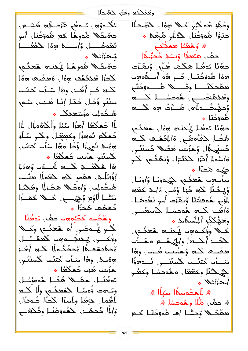وهُنْدْلُهِ وهُنِّي لِهُمْمِطُل

ئگ هوره . ئے هُم كُنْزِد كُلِهِ هَٰذِئے مِ دەً خَلا ھُەمِھُا كَم ھُەقْحُلْا. أُس  $\bullet$   $\%$ حقَمَكا هُمبِعُا هُدَه عَعدُم كْحَرَّا شَكْكُف هِهَا. هُمْحَمَّمِهِ هِهَا كے وَ أُهُدٍ. وَهُ تَسَلُّمَ كُتْئَب مىلُلُو ۆُكْل. كُخْلْ إِنْبَا هُـزَم. مْنَـٰهِ كْمْشُەبِكْ ەۆشكىكك ؛ لَمَا حَمِكْكُل أَهِذَا مَنْنَا وأَكْدُهُوبِلَا لِمَا كُمْكُمْ نُهْرَوْا وِكْعِفْدا. وِكْبْ سُلُوْ هِهَما نُصِيْرًا وَّحُل هِهَا مَتَدَّبٍ كَتَتَفَ لْمَسْلُو هَزَمَتْ كَمْلَاهَا ﴾ ھُا ھُلْکُمْ کُمْ لَمُسْهَى وُھُمَا إِذَّائِكُمْ. فَقُومٍ كُلُّهَ كَفَكْمَاْ! هِنَّىت هُىثُولِ. وُ/وصْلا هضَنهُ! وِهُكْمَا مَتْنَـا لُلُؤُم وَجَهُمِــوٍ. كَـــلا كَـفــزًا كَعفُم هُجُلُ: وهَكَسه كَتْرُە۞ حقَّ. عُهِمُنْل كْسِر لْمُسْمَضُو. أَه هْتِدْسَهِ وَكَسْلًا وِتُكْسِي. لِكَبْأَسِدْهِتْ كَلَعْقَبْسُلْ. هُحكُفِهْدَ الْمُحَكَّدَ الْكَلَّهِ أَهْدَ 200 مى بۇ ئىل كتتى كىللىر. هزَّمِين هُزَمَ كَمَكْتُدَا ﴾ مُوهُنَا. همَّى هُدُا هُووُيَا. وئىھە ۋەمئىل كىقىنگىم ولا كلىم لْمُعملِ. حَبْعُل وِلْمِمْل كَدُر أَحْدَرَا. وْاٰ الْاسْكَـٰۃ : ﴿ حَقَّدَوْهُنَـٰا وِثَّـٰاهُ بِ

وِحُكُوْ هُدِيكُمْ كَلاَ هِءُا كَلَامَطْلا حنْرِوْٓا هُودُنَا. ۞لُماُرٖ هُرِمْه ﴾ ه وَحْكَمُا شَعِكْتُب حفٌ. هنُعدًا وَبِسَدٍ كَجَزْنِدًا دەُنا غەھْل ھڭگ ھُنَّى. وِّىگْتُ هەُا ھُەتِڪُلْبا کُسِر ھُە اُسْتَگُەھِب ههَدكْنُـــا وِثُـــــــــــا هُــــــــەوْدُنُــع وقَعْهَ تُمْسَى فَاحْسُسَا لَمْسَعْهِ وَحَكَمِيثٌ وَأَنَّ وَاللَّهُ . هَيْ نَتَّ وَهِ مَكْلِ وَهُ هُەۊحُلْه \* حەنا ئەھْل ئىنىش ھەل. ھىھىگە ھُڪُل ڪُڏُهِ صَبِي. ۃُ/لِڪَڪُڪ ٽڪ خَسيُّكُمَّا. وَحَزَّمَت شَكَّلاً خَسْتُبْ. ة/مْدَا أَحْزَا ۖ لِكَنُتَرَا. وَبِـهَدُــهِ ۖ كُــرِ أَشْكُمْ هَرْمَ مأسوب خصفُم ليُحوَسُلَ وَاوَسُلَ. وَلِمَشَا لَاهِ خَذِا وَهُمِ. ةَاما كَعْدُه لمْوْمِ هُدَفَتُنْلَا وُبِكْنُو أُمِرٍ تُعُدِهُـلَ. ةَاهَدِ كَدِهِ هُوصِيًا كَيْمِعَيْبِ. وتَعَوُّكُكُمْ أَلْمَلْمُسَكَّمَدْ \* كْمِلًا وَوُّكْمُوهِ لِمُحْلَّدَهِ خْعَدْمُورْ. لِكَسَـٰۃِ أَكْـَـٰہُۚا وَالِيُہُـُـُّـُمُّ ہُمَّـُّہُ هقَسِهِ ݣَدْهِ وُهِنَّمِيهِ هُـْمِهِ. وَهُ شاأب كتئاب كلملت و. تُندهُوا لِمَتَحِيْكُمُا وِكَعَعْقَاً. مِمْهُدَسًا وِكَعُب  $\cdot \sqrt{\frac{2}{2}}$ R ILIN KNOSAL R **& حقٌّ. هُلَّا وهُوصِيًا &** ههَدْ لا وْحِشَا أُفْ هُوْدُنْنَا كُنْعْ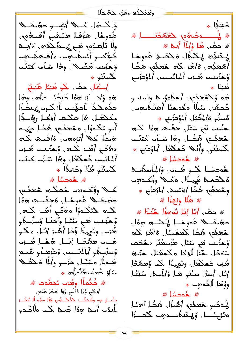وهُنْدْلُهِ وهُنِّي لِهُمْمِلًا

وَالْحَــْهَا. كَـــلا أَنْتِمِـــو حَهْمَصَــلا هُومُل هَزُقَا همُفَع أُقْدِقُورِ. وِلَمَّا تَاهِجُو مِنْ حَكَّاهِ بِهِ مَاسِطٍ كَرْوُّكْسِرِ ٱمْسَلَّاسِرِّفِ. ۞ ٱقْتَتْمَاهُسِرِهِ وَمِعْمَىكَ هُدًىكَلٌّ وَهُمَا مِّسَلِّكَ كُتْلَب **َكْسْلُو ۞** إمآثار. حقَّ. كُمْ هُزْمًا هُزْمَعٌ هُه وَإِحِسْنَ اهِهَا خَبِجَمْهِ عِلْمِهِ . وَهَا حَدُّه حَكَمُّا مُحَمَّدَ الْمَكْرِبِّ حَمَّدَ الْمَكْرِمَةُ وكُلْحُدًا. هُا هِنْكُمْ أَوْكُلُ رَبَّهُكُمْ أَسِ كَنْدَوُلَ. وَحْمَدْهُمْ هُدُلْ دَيْنَهُ الأمطال حملا أتتوادف وكافئت تكاد ەھُكَم أَهُد: ݣُـــهِ. وُهنَّىـــا هُـــزَ ٱلملئسا دَهلاهُا. وها سَـرَى كتتَ كَسْلُبْ هُٰۥًا وِحْتِكْلًا ﴾ 2 Lisan 2 كملا وتُك00 هَككس هَعنْده دەَخَىلا ھُەوھْا. ەُھڤىسى ھەْا لْكُنْهُ كَتْكُدْوُا هْهُكُمْ أُهُدْ ݣُدْهُ . وَحدَّىب هَــ مَتْلَا وِأَحلُـا وَمِعلَىكُو هُذِبٍ. وِنُصِيءُا وَكُما أَهْمَعَ إِنْسَاءٍ. ٥ كُنْبَر هُـــ; محكَّــْـل إِنْــل. هُـهُــل هُـــ; ـ وَمِيزَ أَجْرَامٍ أَجْلَائِكْسِيتِ وَجَزْهِدَارٍ وَقَصَدَمٍ هُــه أا همّثـا. دَّنـــر وأَلمًا هَ لَاشًــلا مَنَّزَةٍ كَعَزَّمْمَعُلُّهُ بِهِ \* *®* حُثُماُ! وهُزم مُحفُّوم *®* أَاكُمْ وُوَّا هُٱلْمَ وُوَّا هُكُا هَنُع. دَّنِـــرٌ وه ومُحكَـــز حَثَـحَــوهُ مِ وُوَّا هِ هُ مَا تُحَـــز لَمَفَ أَسْمٍ هِهُا تَسْمٍ كُنْتَ هَلَاَشُتُمْ

دْ: كَجُالْ \* **® لُــــــــەكُىۋُەر لِلْقَقَدُّتْـــــــا ®** ® حفٌّ. هُا وُ/أَأَ أَبِّد ® لمحْبِرُه لِمَكْدُلِ هَكْسُمْ هُوهُا أَهْعِدْوهِ. وْأَهْدِ ݣُو هُعْدُمْ هُوْمَ وَحَذَّىكَ هُــزَتَ ٱلْمَلَدُّــَتَ. ٱلْمُؤَدِّنَــعِ ھُذِئا ﴾ ھُە ۇللەھلگەر. أىمكەۇبىد وتساسو حُحهُ;. مَمْلًا مَحْمِعْلُ أَهتَمُ مِنْ. ەْمىلُو ۋاپاڭىدا. اْياۋدىس ھ هنِّيب هُم مَثَلَ هدَّمه مِهْ لَهَ م هْعِدٌ مِ هُدًا. وِهُ سَدَّبَ كُتْبَ **ێڛڵؙؠ. وٱڒؘ؇ ڝٞػ**ۼڵٳ؞ ٱڸۄؚٞڿۜڹ 2 Lisaie 2 هُوصِسًا كُبِ هُــزم، وْإِلِمُلْمِدَّسِـدْ هُكْتُعُكُمْ فَيْ أَنْ هَكُكُمْ وَتُكْتَفِقِ وِهْعِدْهُمْ هُدًا أَاوِّسُكُ. ٱلْمُؤْمَنُونَ \* **& ممَّلاً وَرَجَّدُاً &** ® حفٍّ. أَبَلَ إِبَلَ نَوْوَوْا هَزْمَزًا ® دەْمَكْلا ھُەمِكْل كُكْسُرە رەەُل. هَعِدُهِ هُدًا كَعِمَسُاً. 16مَٰ: كَلَّهِ وَّهزُمِينَ هُمْ مِنْتَارٍ. هزَمِيعُنَا وَهُنْتِفَ مَّتَوْصًا. هُنَّا لَّاوْحُا مِكْعِعْدًا. هِنْمِيَ هُنِ حُمِكْهُا. وِنُمِيذًا لَكَ وُهِهْدًا إِنَّا. أَمِيْلَ مِيلُو هُا وُٱيْلِيهِ. مَكْنُا وؤثدا للصُّوهب \* 2 Lisaie 2 لُّهضَرِ هَعِنُو أَهُنُوا هُدُا أَهلُنَا ەئۇپئىل. ۆلىنىڭ مەرەب كادار